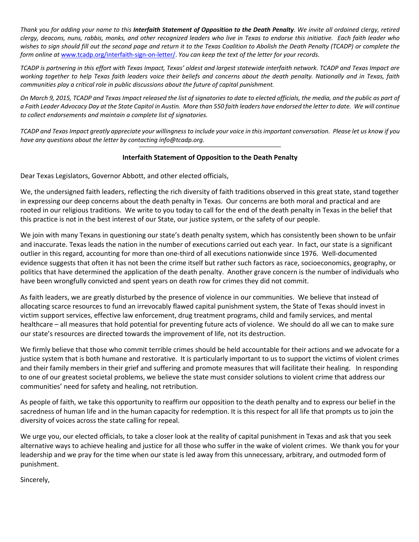*Thank you for adding your name to this Interfaith Statement of Opposition to the Death Penalty. We invite all ordained clergy, retired clergy, deacons, nuns, rabbis, monks, and other recognized leaders who live in Texas to endorse this initiative. Each faith leader who wishes to sign should fill out the second page and return it to the Texas Coalition to Abolish the Death Penalty (TCADP) or complete the form online at* www.tcadp.org/interfaith-sign-on-letter/. *You can keep the text of the letter for your records.* 

*TCADP is partnering in this effort with Texas Impact, Texas' oldest and largest statewide interfaith network. TCADP and Texas Impact are working together to help Texas faith leaders voice their beliefs and concerns about the death penalty. Nationally and in Texas, faith communities play a critical role in public discussions about the future of capital punishment.* 

*On March 9, 2015, TCADP and Texas Impact released the list of signatories to date to elected officials, the media, and the public as part of a Faith Leader Advocacy Day at the State Capitol in Austin. More than 550 faith leaders have endorsed the letter to date. We will continue to collect endorsements and maintain a complete list of signatories.* 

*TCADP and Texas Impact greatly appreciate your willingness to include your voice in this important conversation. Please let us know if you have any questions about the letter by contacting info@tcadp.org.* 

## **Interfaith Statement of Opposition to the Death Penalty**

Dear Texas Legislators, Governor Abbott, and other elected officials,

We, the undersigned faith leaders, reflecting the rich diversity of faith traditions observed in this great state, stand together in expressing our deep concerns about the death penalty in Texas. Our concerns are both moral and practical and are rooted in our religious traditions. We write to you today to call for the end of the death penalty in Texas in the belief that this practice is not in the best interest of our State, our justice system, or the safety of our people.

We join with many Texans in questioning our state's death penalty system, which has consistently been shown to be unfair and inaccurate. Texas leads the nation in the number of executions carried out each year. In fact, our state is a significant outlier in this regard, accounting for more than one-third of all executions nationwide since 1976. Well-documented evidence suggests that often it has not been the crime itself but rather such factors as race, socioeconomics, geography, or politics that have determined the application of the death penalty. Another grave concern is the number of individuals who have been wrongfully convicted and spent years on death row for crimes they did not commit.

As faith leaders, we are greatly disturbed by the presence of violence in our communities. We believe that instead of allocating scarce resources to fund an irrevocably flawed capital punishment system, the State of Texas should invest in victim support services, effective law enforcement, drug treatment programs, child and family services, and mental healthcare – all measures that hold potential for preventing future acts of violence. We should do all we can to make sure our state's resources are directed towards the improvement of life, not its destruction.

We firmly believe that those who commit terrible crimes should be held accountable for their actions and we advocate for a justice system that is both humane and restorative. It is particularly important to us to support the victims of violent crimes and their family members in their grief and suffering and promote measures that will facilitate their healing. In responding to one of our greatest societal problems, we believe the state must consider solutions to violent crime that address our communities' need for safety and healing, not retribution.

As people of faith, we take this opportunity to reaffirm our opposition to the death penalty and to express our belief in the sacredness of human life and in the human capacity for redemption. It is this respect for all life that prompts us to join the diversity of voices across the state calling for repeal.

We urge you, our elected officials, to take a closer look at the reality of capital punishment in Texas and ask that you seek alternative ways to achieve healing and justice for all those who suffer in the wake of violent crimes. We thank you for your leadership and we pray for the time when our state is led away from this unnecessary, arbitrary, and outmoded form of punishment.

Sincerely,